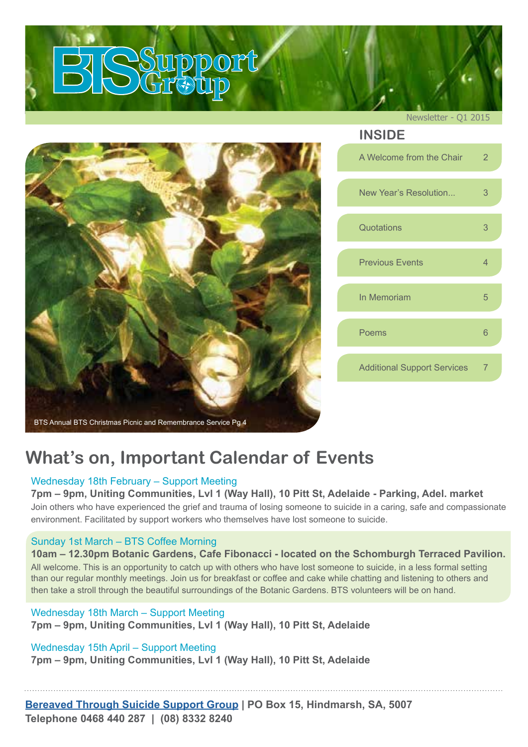

## **What's on, Important Calendar of Events**

#### Wednesday 18th February – Support Meeting

#### **7pm – 9pm, Uniting Communities, Lvl 1 (Way Hall), 10 Pitt St, Adelaide - Parking, Adel. market**

Join others who have experienced the grief and trauma of losing someone to suicide in a caring, safe and compassionate environment. Facilitated by support workers who themselves have lost someone to suicide.

#### Sunday 1st March – BTS Coffee Morning

#### **10am – 12.30pm Botanic Gardens, Cafe Fibonacci - located on the Schomburgh Terraced Pavilion.** All welcome. This is an opportunity to catch up with others who have lost someone to suicide, in a less formal setting

than our regular monthly meetings. Join us for breakfast or coffee and cake while chatting and listening to others and then take a stroll through the beautiful surroundings of the Botanic Gardens. BTS volunteers will be on hand.

### Wednesday 18th March – Support Meeting **7pm – 9pm, Uniting Communities, Lvl 1 (Way Hall), 10 Pitt St, Adelaide**

#### Wednesday 15th April – Support Meeting

**7pm – 9pm, Uniting Communities, Lvl 1 (Way Hall), 10 Pitt St, Adelaide**

**[Bereaved Through Suicide Support Group](http://www.bts.org.au) | PO Box 15, Hindmarsh, SA, 5007 Telephone 0468 440 287 | (08) 8332 8240**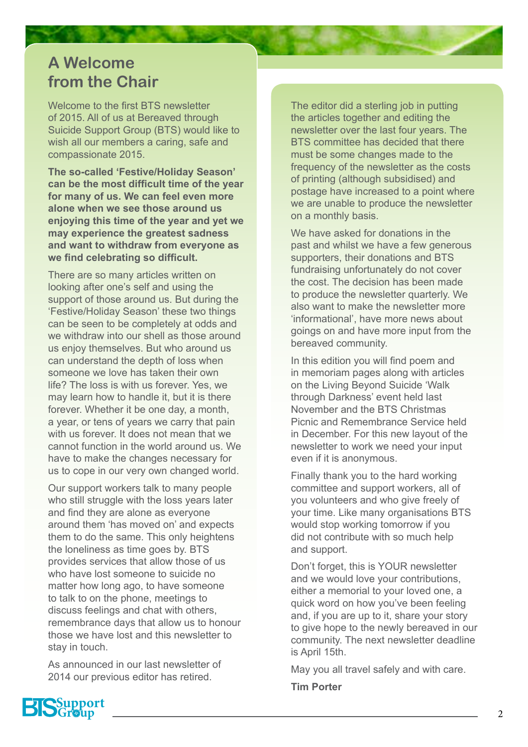## **A Welcome from the Chair**

Welcome to the first BTS newsletter of 2015. All of us at Bereaved through Suicide Support Group (BTS) would like to wish all our members a caring, safe and compassionate 2015.

**The so-called 'Festive/Holiday Season' can be the most difficult time of the year for many of us. We can feel even more alone when we see those around us enjoying this time of the year and yet we may experience the greatest sadness and want to withdraw from everyone as we find celebrating so difficult.**

There are so many articles written on looking after one's self and using the support of those around us. But during the 'Festive/Holiday Season' these two things can be seen to be completely at odds and we withdraw into our shell as those around us enjoy themselves. But who around us can understand the depth of loss when someone we love has taken their own life? The loss is with us forever. Yes, we may learn how to handle it, but it is there forever. Whether it be one day, a month, a year, or tens of years we carry that pain with us forever. It does not mean that we cannot function in the world around us. We have to make the changes necessary for us to cope in our very own changed world.

Our support workers talk to many people who still struggle with the loss years later and find they are alone as everyone around them 'has moved on' and expects them to do the same. This only heightens the loneliness as time goes by. BTS provides services that allow those of us who have lost someone to suicide no matter how long ago, to have someone to talk to on the phone, meetings to discuss feelings and chat with others, remembrance days that allow us to honour those we have lost and this newsletter to stay in touch.

As announced in our last newsletter of 2014 our previous editor has retired.

The editor did a sterling job in putting the articles together and editing the newsletter over the last four years. The BTS committee has decided that there must be some changes made to the frequency of the newsletter as the costs of printing (although subsidised) and postage have increased to a point where we are unable to produce the newsletter on a monthly basis.

We have asked for donations in the past and whilst we have a few generous supporters, their donations and BTS fundraising unfortunately do not cover the cost. The decision has been made to produce the newsletter quarterly. We also want to make the newsletter more 'informational', have more news about goings on and have more input from the bereaved community.

In this edition you will find poem and in memoriam pages along with articles on the Living Beyond Suicide 'Walk through Darkness' event held last November and the BTS Christmas Picnic and Remembrance Service held in December. For this new layout of the newsletter to work we need your input even if it is anonymous.

Finally thank you to the hard working committee and support workers, all of you volunteers and who give freely of your time. Like many organisations BTS would stop working tomorrow if you did not contribute with so much help and support.

Don't forget, this is YOUR newsletter and we would love your contributions, either a memorial to your loved one, a quick word on how you've been feeling and, if you are up to it, share your story to give hope to the newly bereaved in our community. The next newsletter deadline is April 15th.

May you all travel safely and with care.

**Tim Porter**

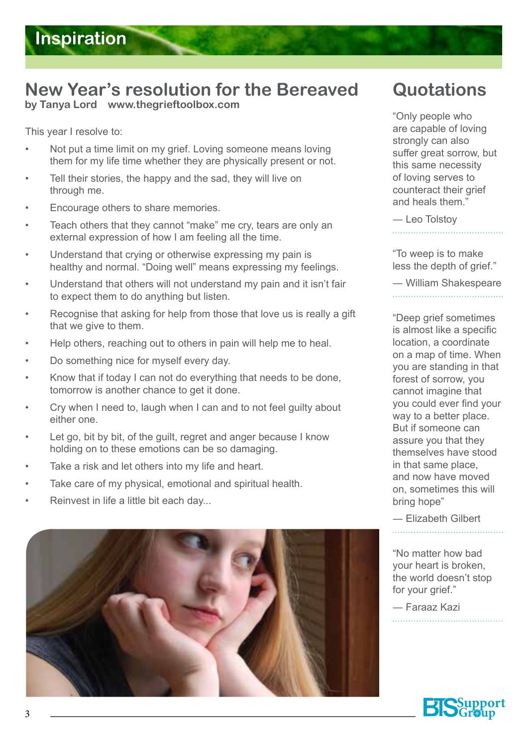# **New Year's resolution for the Bereaved**

**by Tanya Lord www.thegrieftoolbox.com**

This year I resolve to:

- Not put a time limit on my grief. Loving someone means loving them for my life time whether they are physically present or not.
- Tell their stories, the happy and the sad, they will live on through me.
- Encourage others to share memories.
- Teach others that they cannot "make" me cry, tears are only an external expression of how I am feeling all the time.
- Understand that crying or otherwise expressing my pain is healthy and normal. "Doing well" means expressing my feelings.
- Understand that others will not understand my pain and it isn't fair to expect them to do anything but listen.
- Recognise that asking for help from those that love us is really a gift that we give to them.
- Help others, reaching out to others in pain will help me to heal.
- Do something nice for myself every day.
- Know that if today I can not do everything that needs to be done, tomorrow is another chance to get it done.
- Cry when I need to, laugh when I can and to not feel guilty about either one.
- Let go, bit by bit, of the guilt, regret and anger because I know holding on to these emotions can be so damaging.
- Take a risk and let others into my life and heart.
- Take care of my physical, emotional and spiritual health.
- Reinvest in life a little bit each day...



# **Quotations**

"Only people who are capable of loving strongly can also suffer great sorrow, but this same necessity of loving serves to counteract their grief and heals them."

― Leo Tolstoy 

"To weep is to make less the depth of grief."

― William Shakespeare

"Deep grief sometimes is almost like a specific location, a coordinate on a map of time. When you are standing in that forest of sorrow, you cannot imagine that you could ever find your way to a better place. But if someone can assure you that they themselves have stood in that same place, and now have moved on, sometimes this will bring hope"

― Elizabeth Gilbert 

"No matter how bad your heart is broken, the world doesn't stop for your grief."

― Faraaz Kazi

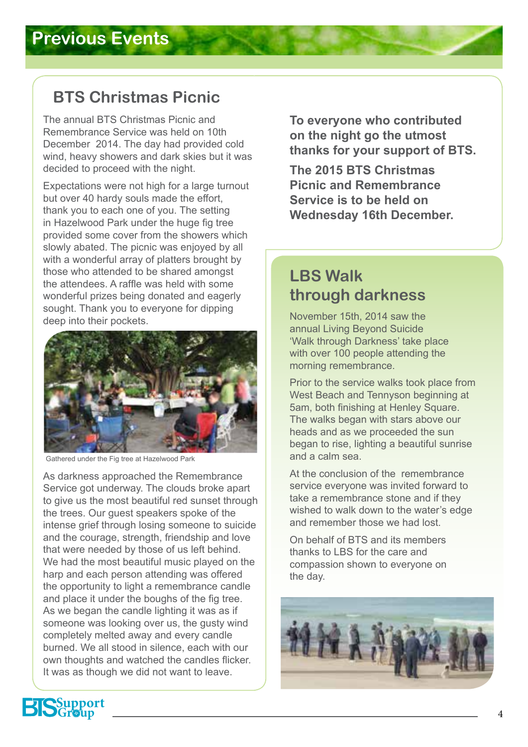## **BTS Christmas Picnic**

The annual BTS Christmas Picnic and Remembrance Service was held on 10th December 2014. The day had provided cold wind, heavy showers and dark skies but it was decided to proceed with the night.

Expectations were not high for a large turnout but over 40 hardy souls made the effort, thank you to each one of you. The setting in Hazelwood Park under the huge fig tree provided some cover from the showers which slowly abated. The picnic was enjoyed by all with a wonderful array of platters brought by those who attended to be shared amongst the attendees. A raffle was held with some wonderful prizes being donated and eagerly sought. Thank you to everyone for dipping deep into their pockets.



Gathered under the Fig tree at Hazelwood Park

As darkness approached the Remembrance Service got underway. The clouds broke apart to give us the most beautiful red sunset through the trees. Our guest speakers spoke of the intense grief through losing someone to suicide and the courage, strength, friendship and love that were needed by those of us left behind. We had the most beautiful music played on the harp and each person attending was offered the opportunity to light a remembrance candle and place it under the boughs of the fig tree. As we began the candle lighting it was as if someone was looking over us, the gusty wind completely melted away and every candle burned. We all stood in silence, each with our own thoughts and watched the candles flicker. It was as though we did not want to leave.

**To everyone who contributed on the night go the utmost thanks for your support of BTS.** 

**The 2015 BTS Christmas Picnic and Remembrance Service is to be held on Wednesday 16th December.**

## **LBS Walk through darkness**

November 15th, 2014 saw the annual Living Beyond Suicide 'Walk through Darkness' take place with over 100 people attending the morning remembrance.

Prior to the service walks took place from West Beach and Tennyson beginning at 5am, both finishing at Henley Square. The walks began with stars above our heads and as we proceeded the sun began to rise, lighting a beautiful sunrise and a calm sea.

At the conclusion of the remembrance service everyone was invited forward to take a remembrance stone and if they wished to walk down to the water's edge and remember those we had lost.

On behalf of BTS and its members thanks to LBS for the care and compassion shown to everyone on the day.



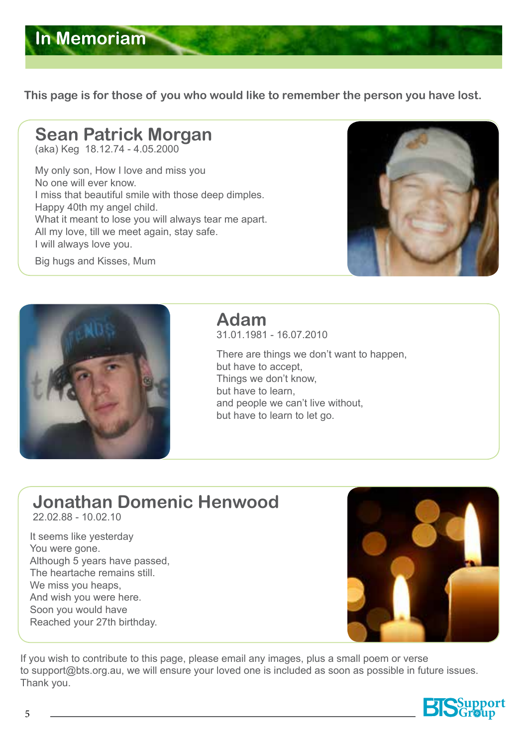

**This page is for those of you who would like to remember the person you have lost.** 

### **Sean Patrick Morgan**  (aka) Keg 18.12.74 - 4.05.2000

My only son, How I love and miss you No one will ever know. I miss that beautiful smile with those deep dimples. Happy 40th my angel child. What it meant to lose you will always tear me apart. All my love, till we meet again, stay safe. I will always love you.

Big hugs and Kisses, Mum





# **Adam**

31.01.1981 - 16.07.2010

There are things we don't want to happen, but have to accept, Things we don't know, but have to learn, and people we can't live without, but have to learn to let go.

# **Jonathan Domenic Henwood**

22.02.88 - 10.02.10

It seems like yesterday You were gone. Although 5 years have passed, The heartache remains still. We miss you heaps, And wish you were here. Soon you would have Reached your 27th birthday.



If you wish to contribute to this page, please email any images, plus a small poem or verse to support@bts.org.au, we will ensure your loved one is included as soon as possible in future issues. Thank you.

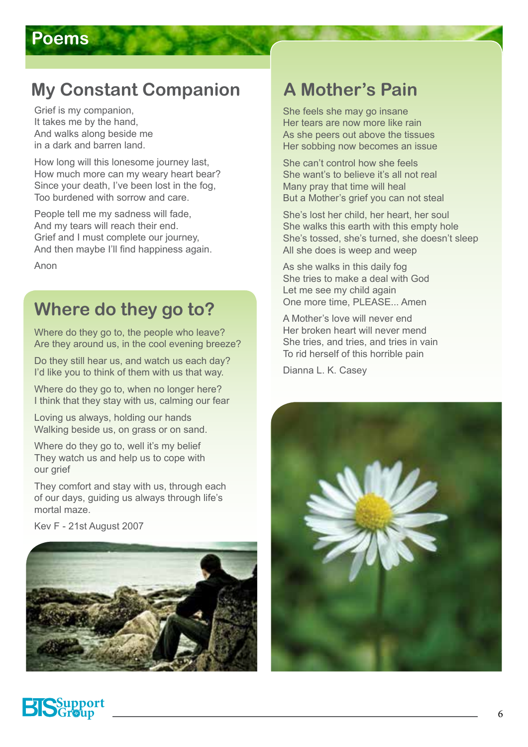# **My Constant Companion A Mother's Pain**

Grief is my companion, It takes me by the hand, And walks along beside me in a dark and barren land.

How long will this lonesome journey last, How much more can my weary heart bear? Since your death, I've been lost in the fog, Too burdened with sorrow and care.

People tell me my sadness will fade, And my tears will reach their end. Grief and I must complete our journey, And then maybe I'll find happiness again.

Anon

## **Where do they go to?**

Where do they go to, the people who leave? Are they around us, in the cool evening breeze?

Do they still hear us, and watch us each day? I'd like you to think of them with us that way.

Where do they go to, when no longer here? I think that they stay with us, calming our fear

Loving us always, holding our hands Walking beside us, on grass or on sand.

Where do they go to, well it's my belief They watch us and help us to cope with our grief

They comfort and stay with us, through each of our days, guiding us always through life's mortal maze.

Kev F - 21st August 2007



She feels she may go insane Her tears are now more like rain As she peers out above the tissues Her sobbing now becomes an issue

She can't control how she feels She want's to believe it's all not real Many pray that time will heal But a Mother's grief you can not steal

She's lost her child, her heart, her soul She walks this earth with this empty hole She's tossed, she's turned, she doesn't sleep All she does is weep and weep

As she walks in this daily fog She tries to make a deal with God Let me see my child again One more time, PLEASE... Amen

A Mother's love will never end Her broken heart will never mend She tries, and tries, and tries in vain To rid herself of this horrible pain

Dianna L. K. Casey